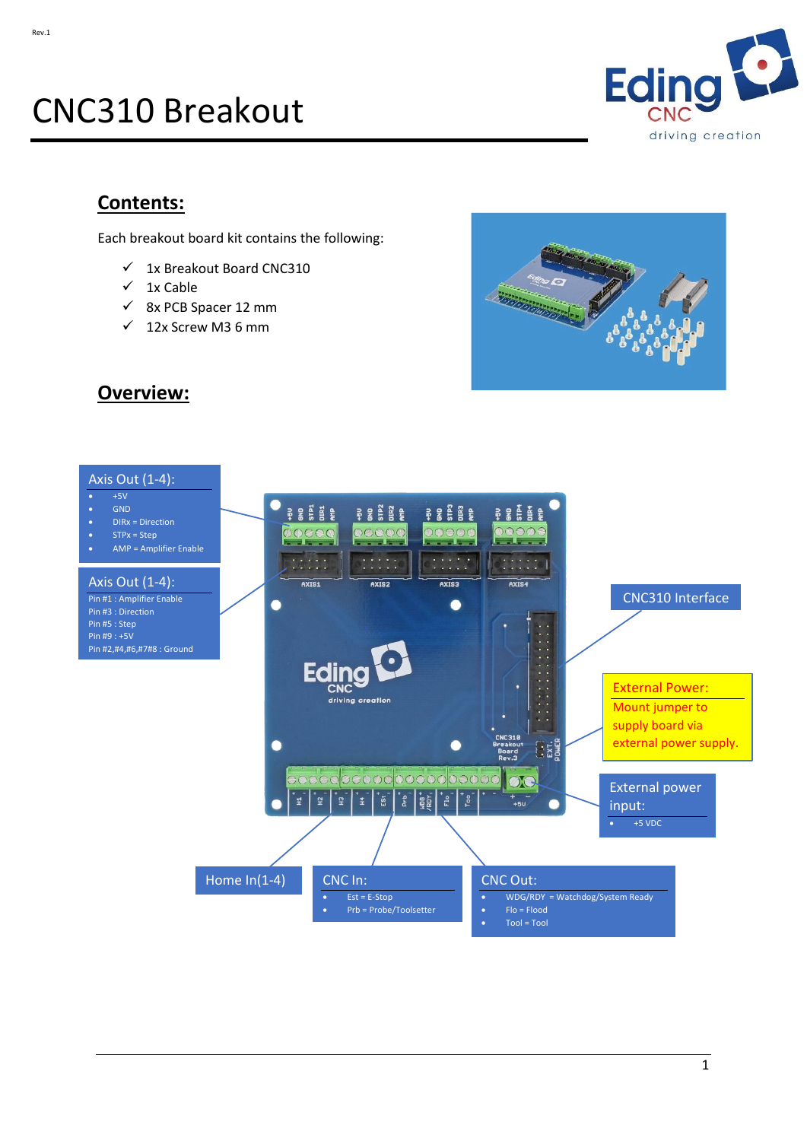# CNC310 Breakout



## **Contents:**

Each breakout board kit contains the following:

- ✓ 1x Breakout Board CNC310
- $\checkmark$  1x Cable
- ✓ 8x PCB Spacer 12 mm
- $\checkmark$  12x Screw M3 6 mm





**Overview:**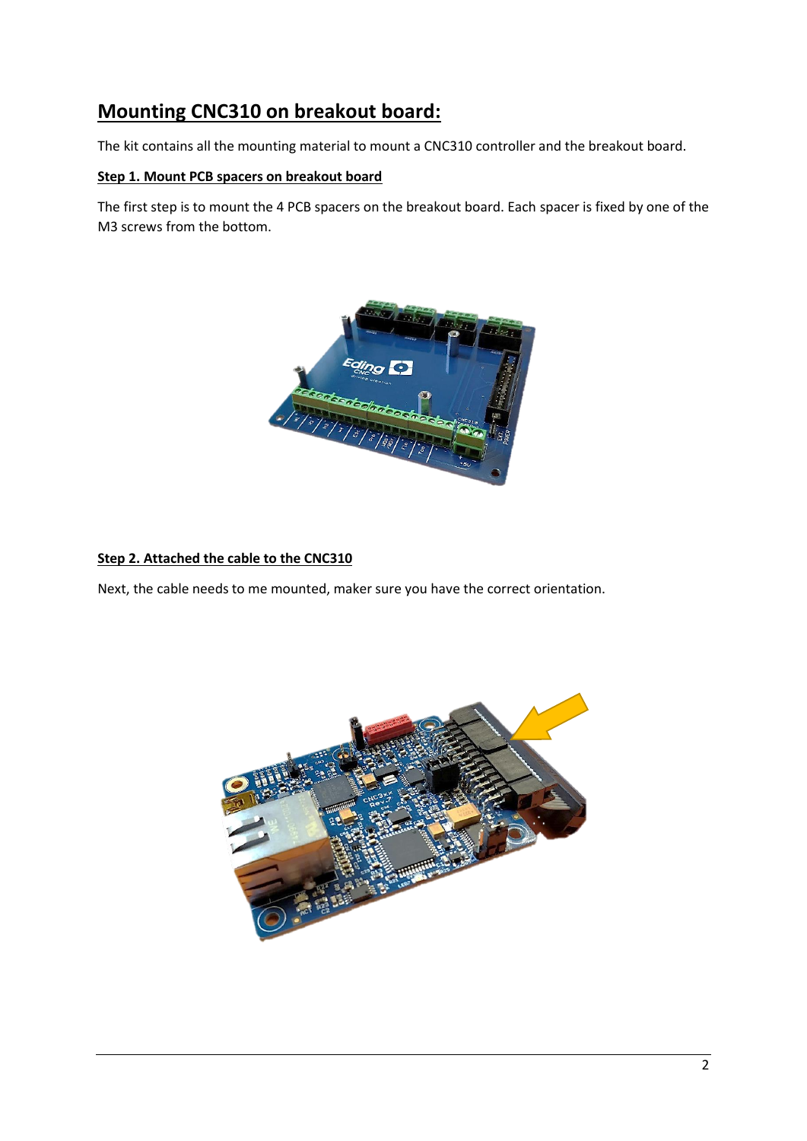# **Mounting CNC310 on breakout board:**

The kit contains all the mounting material to mount a CNC310 controller and the breakout board.

### **Step 1. Mount PCB spacers on breakout board**

The first step is to mount the 4 PCB spacers on the breakout board. Each spacer is fixed by one of the M3 screws from the bottom.



### **Step 2. Attached the cable to the CNC310**

Next, the cable needs to me mounted, maker sure you have the correct orientation.

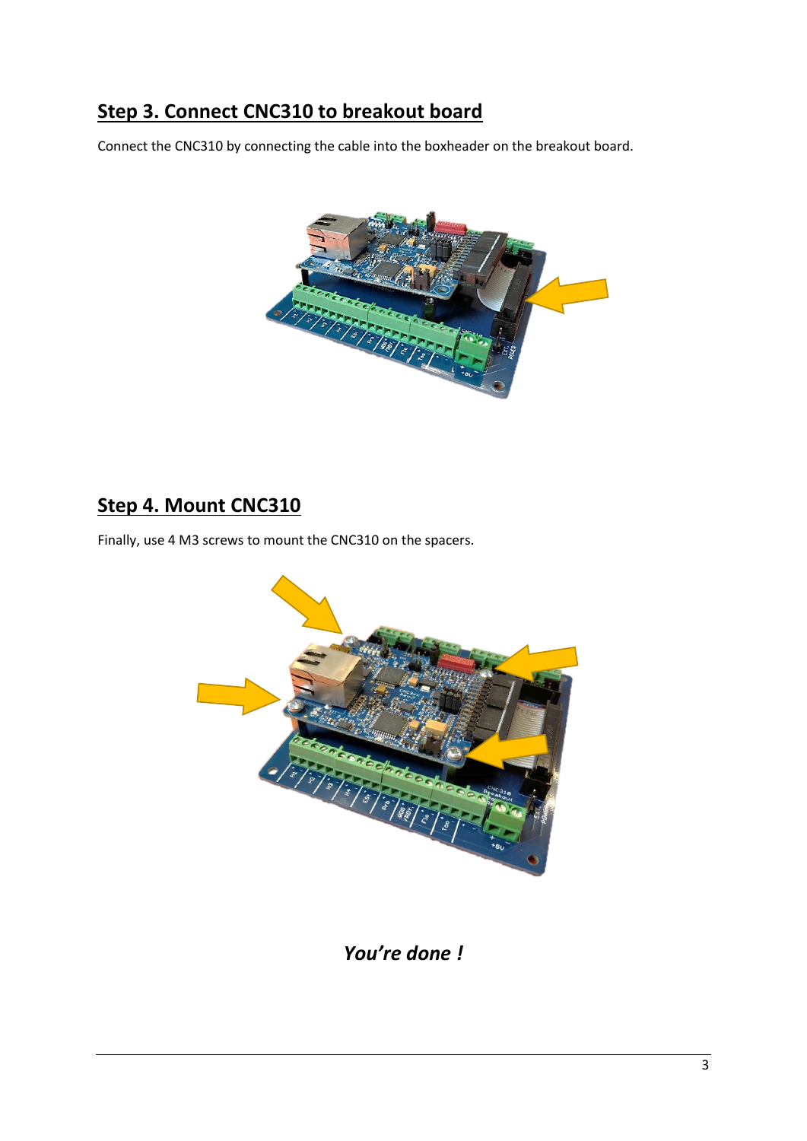# **Step 3. Connect CNC310 to breakout board**

Connect the CNC310 by connecting the cable into the boxheader on the breakout board.



# **Step 4. Mount CNC310**

Finally, use 4 M3 screws to mount the CNC310 on the spacers.



*You're done !*